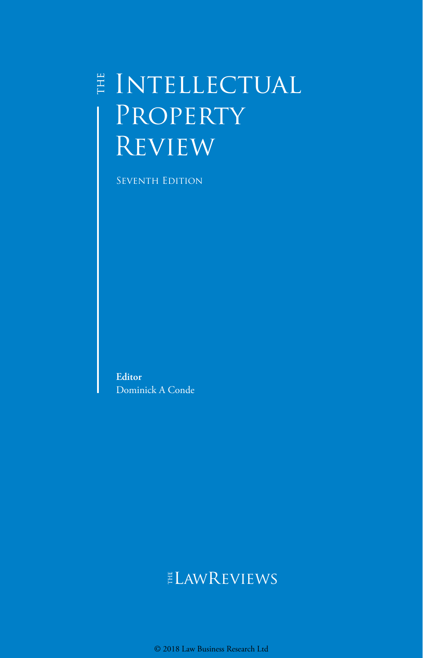# E INTELLECTUAL **PROPERTY REVIEW**

SEVENTH EDITION

**Editor** Dominick A Conde

# ELAWREVIEWS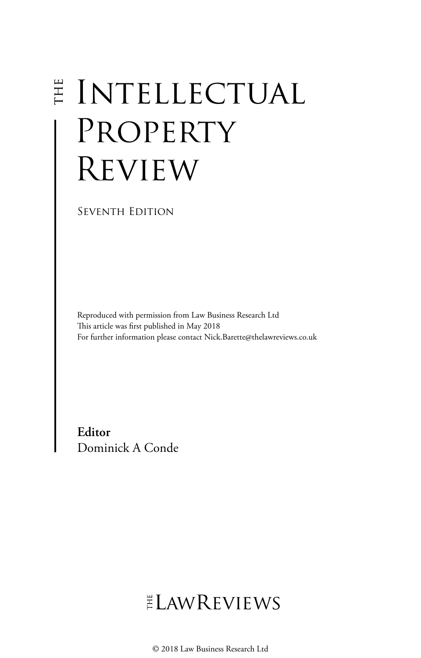# E INTELLECTUAL PROPERTY Review

Seventh Edition

Reproduced with permission from Law Business Research Ltd This article was first published in May 2018 For further information please contact Nick.Barette@thelawreviews.co.uk

**Editor** Dominick A Conde

# ELAWREVIEWS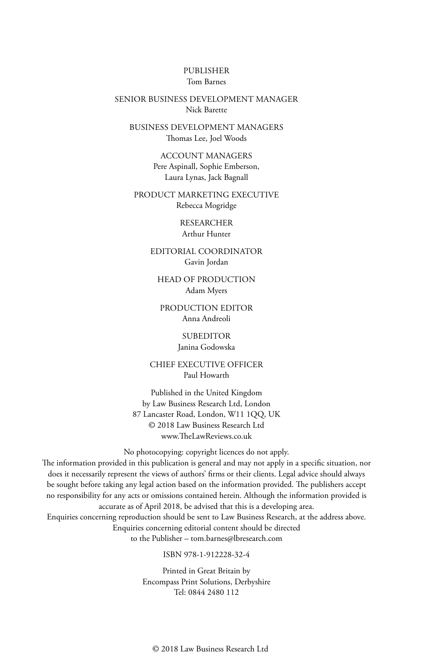#### PUBLISHER Tom Barnes

## SENIOR BUSINESS DEVELOPMENT MANAGER Nick Barette

BUSINESS DEVELOPMENT MANAGERS Thomas Lee, Joel Woods

> ACCOUNT MANAGERS Pere Aspinall, Sophie Emberson, Laura Lynas, Jack Bagnall

PRODUCT MARKETING EXECUTIVE Rebecca Mogridge

> RESEARCHER Arthur Hunter

EDITORIAL COORDINATOR Gavin Jordan

HEAD OF PRODUCTION Adam Myers

PRODUCTION EDITOR Anna Andreoli

> SUBEDITOR Janina Godowska

CHIEF EXECUTIVE OFFICER Paul Howarth

Published in the United Kingdom by Law Business Research Ltd, London 87 Lancaster Road, London, W11 1QQ, UK © 2018 Law Business Research Ltd www.TheLawReviews.co.uk

No photocopying: copyright licences do not apply.

The information provided in this publication is general and may not apply in a specific situation, nor does it necessarily represent the views of authors' firms or their clients. Legal advice should always be sought before taking any legal action based on the information provided. The publishers accept no responsibility for any acts or omissions contained herein. Although the information provided is accurate as of April 2018, be advised that this is a developing area.

Enquiries concerning reproduction should be sent to Law Business Research, at the address above. Enquiries concerning editorial content should be directed to the Publisher – tom.barnes@lbresearch.com

#### ISBN 978-1-912228-32-4

Printed in Great Britain by Encompass Print Solutions, Derbyshire Tel: 0844 2480 112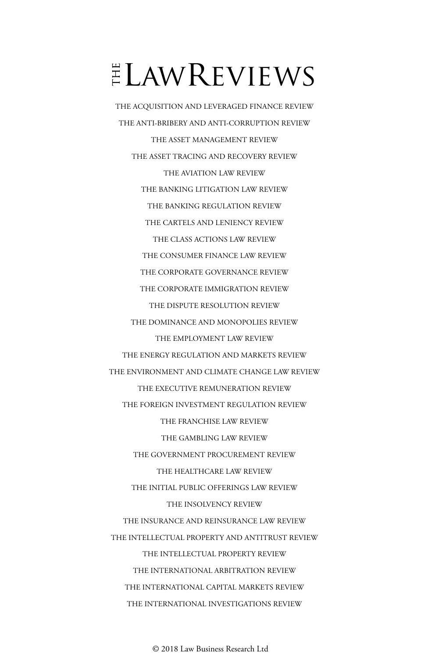# $ELMR$  EVIEWS

THE ACQUISITION AND LEVERAGED FINANCE REVIEW THE ANTI-BRIBERY AND ANTI-CORRUPTION REVIEW THE ASSET MANAGEMENT REVIEW THE ASSET TRACING AND RECOVERY REVIEW THE AVIATION LAW REVIEW THE BANKING LITIGATION LAW REVIEW THE BANKING REGULATION REVIEW THE CARTELS AND LENIENCY REVIEW THE CLASS ACTIONS LAW REVIEW THE CONSUMER FINANCE LAW REVIEW THE CORPORATE GOVERNANCE REVIEW THE CORPORATE IMMIGRATION REVIEW THE DISPUTE RESOLUTION REVIEW THE DOMINANCE AND MONOPOLIES REVIEW THE EMPLOYMENT LAW REVIEW THE ENERGY REGULATION AND MARKETS REVIEW THE ENVIRONMENT AND CLIMATE CHANGE LAW REVIEW THE EXECUTIVE REMUNERATION REVIEW THE FOREIGN INVESTMENT REGULATION REVIEW THE FRANCHISE LAW REVIEW THE GAMBLING LAW REVIEW THE GOVERNMENT PROCUREMENT REVIEW THE HEALTHCARE LAW REVIEW THE INITIAL PUBLIC OFFERINGS LAW REVIEW THE INSOLVENCY REVIEW THE INSURANCE AND REINSURANCE LAW REVIEW THE INTELLECTUAL PROPERTY AND ANTITRUST REVIEW THE INTELLECTUAL PROPERTY REVIEW THE INTERNATIONAL ARBITRATION REVIEW THE INTERNATIONAL CAPITAL MARKETS REVIEW THE INTERNATIONAL INVESTIGATIONS REVIEW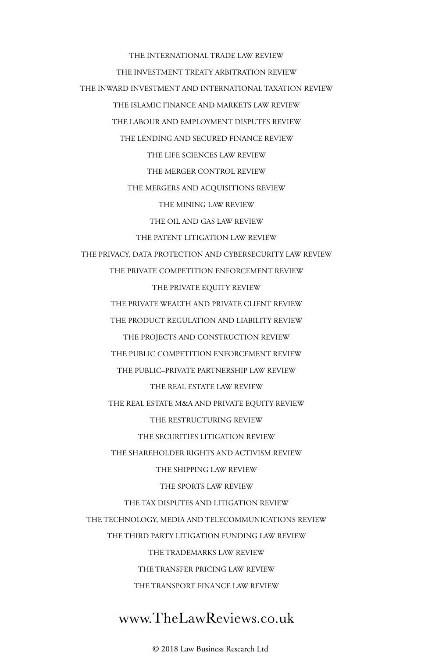THE INTERNATIONAL TRADE LAW REVIEW THE INVESTMENT TREATY ARBITRATION REVIEW THE INWARD INVESTMENT AND INTERNATIONAL TAXATION REVIEW THE ISLAMIC FINANCE AND MARKETS LAW REVIEW THE LABOUR AND EMPLOYMENT DISPUTES REVIEW THE LENDING AND SECURED FINANCE REVIEW THE LIFE SCIENCES LAW REVIEW THE MERGER CONTROL REVIEW THE MERGERS AND ACQUISITIONS REVIEW THE MINING LAW REVIEW THE OIL AND GAS LAW REVIEW THE PATENT LITIGATION LAW REVIEW THE PRIVACY, DATA PROTECTION AND CYBERSECURITY LAW REVIEW THE PRIVATE COMPETITION ENFORCEMENT REVIEW THE PRIVATE EQUITY REVIEW THE PRIVATE WEALTH AND PRIVATE CLIENT REVIEW THE PRODUCT REGULATION AND LIABILITY REVIEW THE PROJECTS AND CONSTRUCTION REVIEW THE PUBLIC COMPETITION ENFORCEMENT REVIEW THE PUBLIC–PRIVATE PARTNERSHIP LAW REVIEW THE REAL ESTATE LAW REVIEW THE REAL ESTATE M&A AND PRIVATE EQUITY REVIEW THE RESTRUCTURING REVIEW THE SECURITIES LITIGATION REVIEW THE SHAREHOLDER RIGHTS AND ACTIVISM REVIEW THE SHIPPING LAW REVIEW THE SPORTS LAW REVIEW THE TAX DISPUTES AND LITIGATION REVIEW THE TECHNOLOGY, MEDIA AND TELECOMMUNICATIONS REVIEW THE THIRD PARTY LITIGATION FUNDING LAW REVIEW THE TRADEMARKS LAW REVIEW THE TRANSFER PRICING LAW REVIEW THE TRANSPORT FINANCE LAW REVIEW

# www.TheLawReviews.co.uk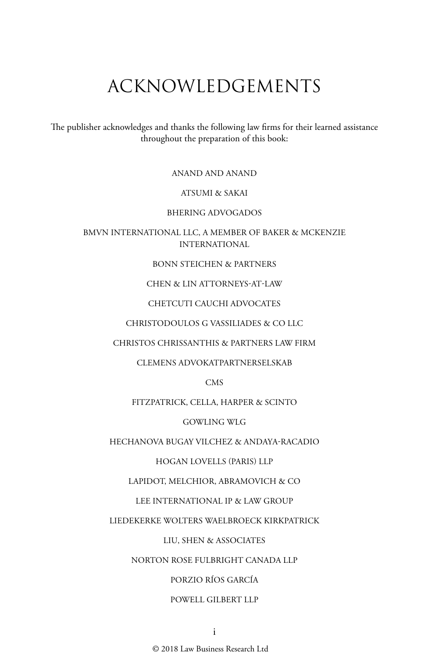# ACKNOWLEDGEMENTS

The publisher acknowledges and thanks the following law firms for their learned assistance throughout the preparation of this book:

# ANAND AND ANAND

# ATSUMI & SAKAI

## BHERING ADVOGADOS

BMVN INTERNATIONAL LLC, A MEMBER OF BAKER & MCKENZIE INTERNATIONAL

BONN STEICHEN & PARTNERS

# CHEN & LIN ATTORNEYS-AT-LAW

# CHETCUTI CAUCHI ADVOCATES

# CHRISTODOULOS G VASSILIADES & CO LLC

#### CHRISTOS CHRISSANTHIS & PARTNERS LAW FIRM

# CLEMENS ADVOKATPARTNERSELSKAB

CMS

# FITZPATRICK, CELLA, HARPER & SCINTO

## GOWLING WLG

# HECHANOVA BUGAY VILCHEZ & ANDAYA-RACADIO

# HOGAN LOVELLS (PARIS) LLP

# LAPIDOT, MELCHIOR, ABRAMOVICH & CO

# LEE INTERNATIONAL IP & LAW GROUP

## LIEDEKERKE WOLTERS WAELBROECK KIRKPATRICK

# LIU, SHEN & ASSOCIATES

#### NORTON ROSE FULBRIGHT CANADA LLP

# PORZIO RÍOS GARCÍA

#### POWELL GILBERT LLP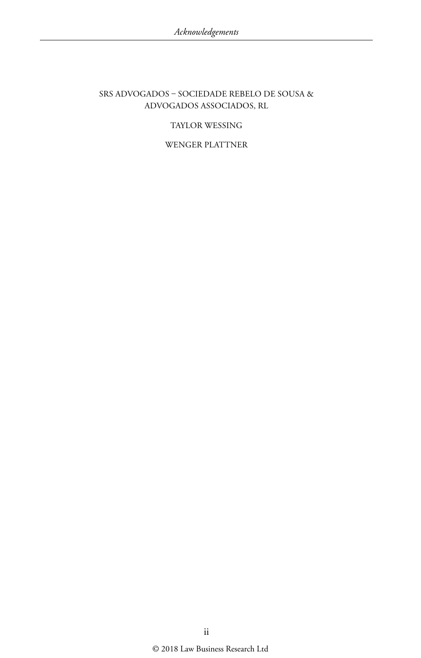# SRS ADVOGADOS – SOCIEDADE REBELO DE SOUSA & ADVOGADOS ASSOCIADOS, RL

# TAYLOR WESSING

## WENGER PLATTNER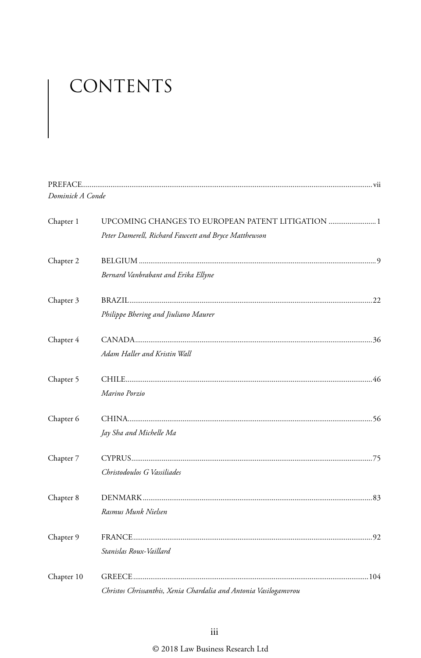# CONTENTS

| Dominick A Conde |                                                                  |  |
|------------------|------------------------------------------------------------------|--|
| Chapter 1        | UPCOMING CHANGES TO EUROPEAN PATENT LITIGATION  1                |  |
|                  | Peter Damerell, Richard Fawcett and Bryce Matthewson             |  |
| Chapter 2        |                                                                  |  |
|                  | Bernard Vanbrabant and Erika Ellyne                              |  |
| Chapter 3        |                                                                  |  |
|                  | Philippe Bhering and Jiuliano Maurer                             |  |
| Chapter 4        |                                                                  |  |
|                  | Adam Haller and Kristin Wall                                     |  |
| Chapter 5        |                                                                  |  |
|                  | Marino Porzio                                                    |  |
| Chapter 6        |                                                                  |  |
|                  | Jay Sha and Michelle Ma                                          |  |
| Chapter 7        |                                                                  |  |
|                  | Christodoulos G Vassiliades                                      |  |
| Chapter 8        |                                                                  |  |
|                  | Rasmus Munk Nielsen                                              |  |
| Chapter 9        |                                                                  |  |
|                  | Stanislas Roux-Vaillard                                          |  |
| Chapter 10       |                                                                  |  |
|                  | Christos Chrissanthis, Xenia Chardalia and Antonia Vasilogamvrou |  |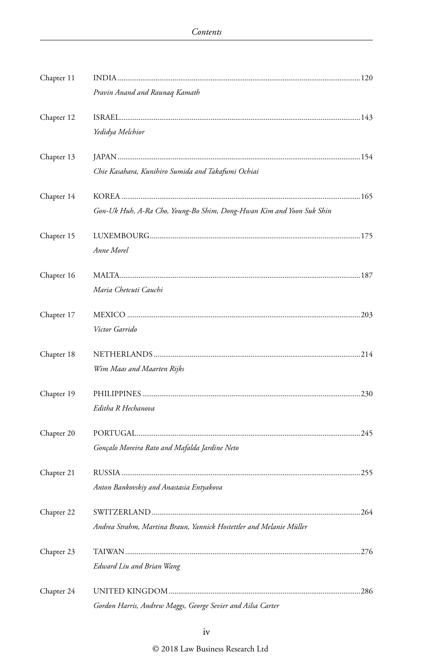| Chapter 11 |                                                                      |  |
|------------|----------------------------------------------------------------------|--|
|            | Pravin Anand and Raunaq Kamath                                       |  |
| Chapter 12 |                                                                      |  |
|            | Yedidya Melchior                                                     |  |
| Chapter 13 |                                                                      |  |
|            | Chie Kasahara, Kunihiro Sumida and Takafumi Ochiai                   |  |
| Chapter 14 |                                                                      |  |
|            | Gon-Uk Huh, A-Ra Cho, Young-Bo Shim, Dong-Hwan Kim and Yoon Suk Shin |  |
| Chapter 15 |                                                                      |  |
|            | Anne Morel                                                           |  |
| Chapter 16 |                                                                      |  |
|            | Maria Chetcuti Cauchi                                                |  |
| Chapter 17 |                                                                      |  |
|            | Victor Garrido                                                       |  |
| Chapter 18 |                                                                      |  |
|            | Wim Maas and Maarten Rijks                                           |  |
| Chapter 19 |                                                                      |  |
|            | Editha R Hechanova                                                   |  |
| Chapter 20 |                                                                      |  |
|            | Gonçalo Moreira Rato and Mafalda Jardine Neto                        |  |
| Chapter 21 |                                                                      |  |
|            | Anton Bankovskiy and Anastasia Entyakova                             |  |
| Chapter 22 |                                                                      |  |
|            | Andrea Strahm, Martina Braun, Yannick Hostettler and Melanie Müller  |  |
| Chapter 23 |                                                                      |  |
|            | Edward Liu and Brian Wang                                            |  |
| Chapter 24 |                                                                      |  |
|            | Gordon Harris, Andrew Maggs, George Sevier and Ailsa Carter          |  |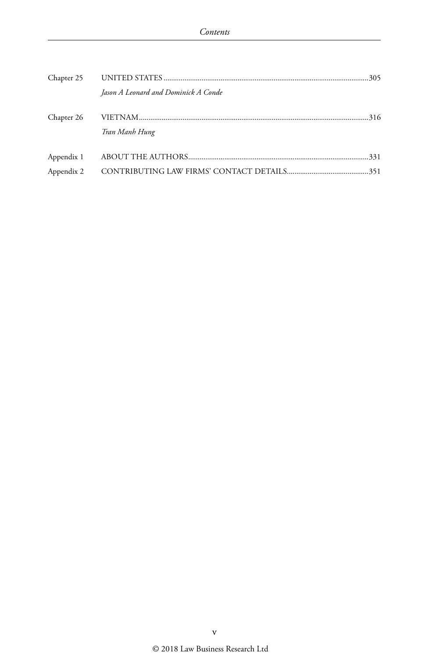|            | Jason A Leonard and Dominick A Conde |  |
|------------|--------------------------------------|--|
| Chapter 26 | Tran Manh Hung                       |  |
| Appendix 1 |                                      |  |
| Appendix 2 |                                      |  |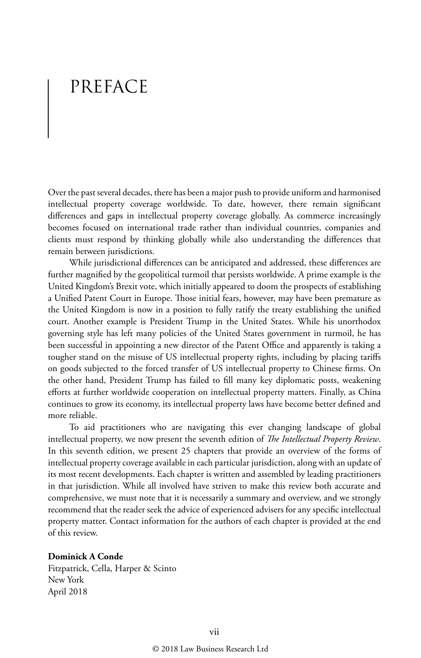# PREFACE

Over the past several decades, there has been a major push to provide uniform and harmonised intellectual property coverage worldwide. To date, however, there remain significant differences and gaps in intellectual property coverage globally. As commerce increasingly becomes focused on international trade rather than individual countries, companies and clients must respond by thinking globally while also understanding the differences that remain between jurisdictions.

While jurisdictional differences can be anticipated and addressed, these differences are further magnified by the geopolitical turmoil that persists worldwide. A prime example is the United Kingdom's Brexit vote, which initially appeared to doom the prospects of establishing a Unified Patent Court in Europe. Those initial fears, however, may have been premature as the United Kingdom is now in a position to fully ratify the treaty establishing the unified court. Another example is President Trump in the United States. While his unorthodox governing style has left many policies of the United States government in turmoil, he has been successful in appointing a new director of the Patent Office and apparently is taking a tougher stand on the misuse of US intellectual property rights, including by placing tariffs on goods subjected to the forced transfer of US intellectual property to Chinese firms. On the other hand, President Trump has failed to fill many key diplomatic posts, weakening efforts at further worldwide cooperation on intellectual property matters. Finally, as China continues to grow its economy, its intellectual property laws have become better defined and more reliable.

To aid practitioners who are navigating this ever changing landscape of global intellectual property, we now present the seventh edition of *The Intellectual Property Review*. In this seventh edition, we present 25 chapters that provide an overview of the forms of intellectual property coverage available in each particular jurisdiction, along with an update of its most recent developments. Each chapter is written and assembled by leading practitioners in that jurisdiction. While all involved have striven to make this review both accurate and comprehensive, we must note that it is necessarily a summary and overview, and we strongly recommend that the reader seek the advice of experienced advisers for any specific intellectual property matter. Contact information for the authors of each chapter is provided at the end of this review.

## **Dominick A Conde**

Fitzpatrick, Cella, Harper & Scinto New York April 2018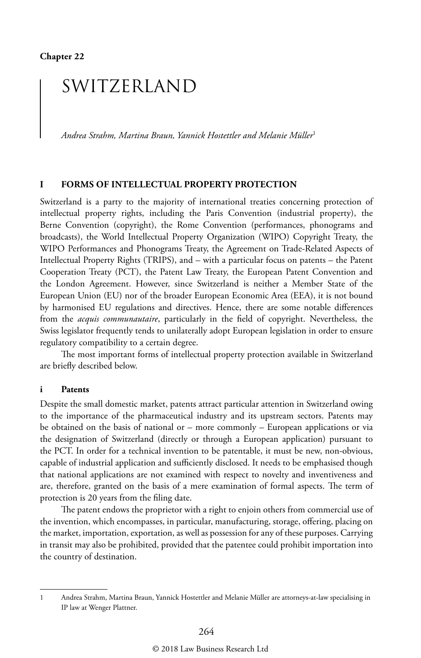# SWITZERLAND

*Andrea Strahm, Martina Braun, Yannick Hostettler and Melanie Müller*<sup>1</sup>

#### **I FORMS OF INTELLECTUAL PROPERTY PROTECTION**

Switzerland is a party to the majority of international treaties concerning protection of intellectual property rights, including the Paris Convention (industrial property), the Berne Convention (copyright), the Rome Convention (performances, phonograms and broadcasts), the World Intellectual Property Organization (WIPO) Copyright Treaty, the WIPO Performances and Phonograms Treaty, the Agreement on Trade-Related Aspects of Intellectual Property Rights (TRIPS), and – with a particular focus on patents – the Patent Cooperation Treaty (PCT), the Patent Law Treaty, the European Patent Convention and the London Agreement. However, since Switzerland is neither a Member State of the European Union (EU) nor of the broader European Economic Area (EEA), it is not bound by harmonised EU regulations and directives. Hence, there are some notable differences from the *acquis communautaire*, particularly in the field of copyright. Nevertheless, the Swiss legislator frequently tends to unilaterally adopt European legislation in order to ensure regulatory compatibility to a certain degree.

The most important forms of intellectual property protection available in Switzerland are briefly described below.

#### **i Patents**

Despite the small domestic market, patents attract particular attention in Switzerland owing to the importance of the pharmaceutical industry and its upstream sectors. Patents may be obtained on the basis of national or – more commonly – European applications or via the designation of Switzerland (directly or through a European application) pursuant to the PCT. In order for a technical invention to be patentable, it must be new, non-obvious, capable of industrial application and sufficiently disclosed. It needs to be emphasised though that national applications are not examined with respect to novelty and inventiveness and are, therefore, granted on the basis of a mere examination of formal aspects. The term of protection is 20 years from the filing date.

The patent endows the proprietor with a right to enjoin others from commercial use of the invention, which encompasses, in particular, manufacturing, storage, offering, placing on the market, importation, exportation, as well as possession for any of these purposes. Carrying in transit may also be prohibited, provided that the patentee could prohibit importation into the country of destination.

<sup>1</sup> Andrea Strahm, Martina Braun, Yannick Hostettler and Melanie Müller are attorneys-at-law specialising in IP law at Wenger Plattner.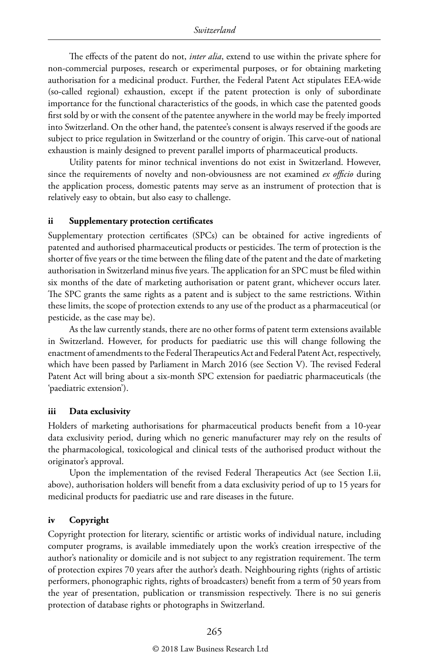The effects of the patent do not, *inter alia*, extend to use within the private sphere for non-commercial purposes, research or experimental purposes, or for obtaining marketing authorisation for a medicinal product. Further, the Federal Patent Act stipulates EEA-wide (so-called regional) exhaustion, except if the patent protection is only of subordinate importance for the functional characteristics of the goods, in which case the patented goods first sold by or with the consent of the patentee anywhere in the world may be freely imported into Switzerland. On the other hand, the patentee's consent is always reserved if the goods are subject to price regulation in Switzerland or the country of origin. This carve-out of national exhaustion is mainly designed to prevent parallel imports of pharmaceutical products.

Utility patents for minor technical inventions do not exist in Switzerland. However, since the requirements of novelty and non-obviousness are not examined *ex officio* during the application process, domestic patents may serve as an instrument of protection that is relatively easy to obtain, but also easy to challenge.

#### **ii Supplementary protection certificates**

Supplementary protection certificates (SPCs) can be obtained for active ingredients of patented and authorised pharmaceutical products or pesticides. The term of protection is the shorter of five years or the time between the filing date of the patent and the date of marketing authorisation in Switzerland minus five years. The application for an SPC must be filed within six months of the date of marketing authorisation or patent grant, whichever occurs later. The SPC grants the same rights as a patent and is subject to the same restrictions. Within these limits, the scope of protection extends to any use of the product as a pharmaceutical (or pesticide, as the case may be).

As the law currently stands, there are no other forms of patent term extensions available in Switzerland. However, for products for paediatric use this will change following the enactment of amendments to the Federal Therapeutics Act and Federal Patent Act, respectively, which have been passed by Parliament in March 2016 (see Section V). The revised Federal Patent Act will bring about a six-month SPC extension for paediatric pharmaceuticals (the 'paediatric extension').

#### **iii Data exclusivity**

Holders of marketing authorisations for pharmaceutical products benefit from a 10-year data exclusivity period, during which no generic manufacturer may rely on the results of the pharmacological, toxicological and clinical tests of the authorised product without the originator's approval.

Upon the implementation of the revised Federal Therapeutics Act (see Section I.ii, above), authorisation holders will benefit from a data exclusivity period of up to 15 years for medicinal products for paediatric use and rare diseases in the future.

## **iv Copyright**

Copyright protection for literary, scientific or artistic works of individual nature, including computer programs, is available immediately upon the work's creation irrespective of the author's nationality or domicile and is not subject to any registration requirement. The term of protection expires 70 years after the author's death. Neighbouring rights (rights of artistic performers, phonographic rights, rights of broadcasters) benefit from a term of 50 years from the year of presentation, publication or transmission respectively. There is no sui generis protection of database rights or photographs in Switzerland.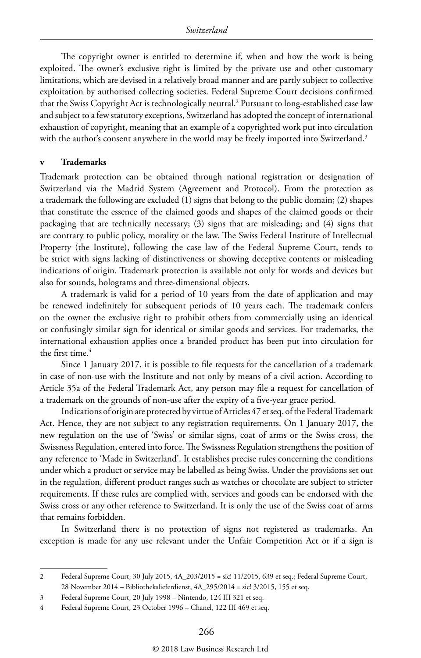The copyright owner is entitled to determine if, when and how the work is being exploited. The owner's exclusive right is limited by the private use and other customary limitations, which are devised in a relatively broad manner and are partly subject to collective exploitation by authorised collecting societies. Federal Supreme Court decisions confirmed that the Swiss Copyright Act is technologically neutral.2 Pursuant to long-established case law and subject to a few statutory exceptions, Switzerland has adopted the concept of international exhaustion of copyright, meaning that an example of a copyrighted work put into circulation with the author's consent anywhere in the world may be freely imported into Switzerland.<sup>3</sup>

#### **v Trademarks**

Trademark protection can be obtained through national registration or designation of Switzerland via the Madrid System (Agreement and Protocol). From the protection as a trademark the following are excluded (1) signs that belong to the public domain; (2) shapes that constitute the essence of the claimed goods and shapes of the claimed goods or their packaging that are technically necessary; (3) signs that are misleading; and (4) signs that are contrary to public policy, morality or the law. The Swiss Federal Institute of Intellectual Property (the Institute), following the case law of the Federal Supreme Court, tends to be strict with signs lacking of distinctiveness or showing deceptive contents or misleading indications of origin. Trademark protection is available not only for words and devices but also for sounds, holograms and three-dimensional objects.

A trademark is valid for a period of 10 years from the date of application and may be renewed indefinitely for subsequent periods of 10 years each. The trademark confers on the owner the exclusive right to prohibit others from commercially using an identical or confusingly similar sign for identical or similar goods and services. For trademarks, the international exhaustion applies once a branded product has been put into circulation for the first time.<sup>4</sup>

Since 1 January 2017, it is possible to file requests for the cancellation of a trademark in case of non-use with the Institute and not only by means of a civil action. According to Article 35a of the Federal Trademark Act, any person may file a request for cancellation of a trademark on the grounds of non-use after the expiry of a five-year grace period.

Indications of origin are protected by virtue of Articles 47 et seq. of the Federal Trademark Act. Hence, they are not subject to any registration requirements. On 1 January 2017, the new regulation on the use of 'Swiss' or similar signs, coat of arms or the Swiss cross, the Swissness Regulation, entered into force. The Swissness Regulation strengthens the position of any reference to 'Made in Switzerland'. It establishes precise rules concerning the conditions under which a product or service may be labelled as being Swiss. Under the provisions set out in the regulation, different product ranges such as watches or chocolate are subject to stricter requirements. If these rules are complied with, services and goods can be endorsed with the Swiss cross or any other reference to Switzerland. It is only the use of the Swiss coat of arms that remains forbidden.

In Switzerland there is no protection of signs not registered as trademarks. An exception is made for any use relevant under the Unfair Competition Act or if a sign is

<sup>2</sup> Federal Supreme Court, 30 July 2015, 4A\_203/2015 = sic! 11/2015, 639 et seq.; Federal Supreme Court, 28 November 2014 – Bibliothekslieferdienst, 4A\_295/2014 = sic! 3/2015, 155 et seq.

<sup>3</sup> Federal Supreme Court, 20 July 1998 – Nintendo, 124 III 321 et seq.

<sup>4</sup> Federal Supreme Court, 23 October 1996 – Chanel, 122 III 469 et seq.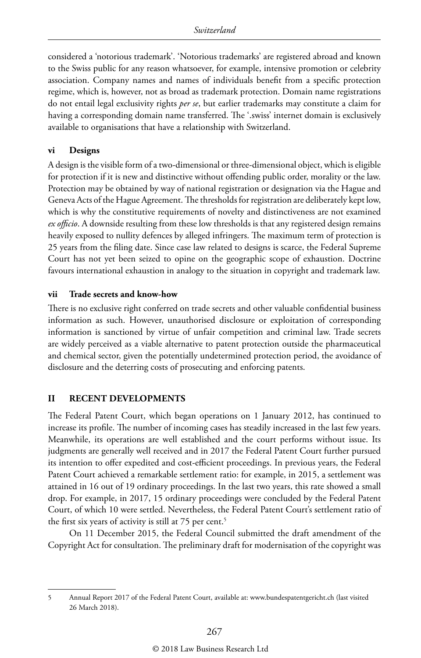considered a 'notorious trademark'. 'Notorious trademarks' are registered abroad and known to the Swiss public for any reason whatsoever, for example, intensive promotion or celebrity association. Company names and names of individuals benefit from a specific protection regime, which is, however, not as broad as trademark protection. Domain name registrations do not entail legal exclusivity rights *per se*, but earlier trademarks may constitute a claim for having a corresponding domain name transferred. The '.swiss' internet domain is exclusively available to organisations that have a relationship with Switzerland.

## **vi Designs**

A design is the visible form of a two-dimensional or three-dimensional object, which is eligible for protection if it is new and distinctive without offending public order, morality or the law. Protection may be obtained by way of national registration or designation via the Hague and Geneva Acts of the Hague Agreement. The thresholds for registration are deliberately kept low, which is why the constitutive requirements of novelty and distinctiveness are not examined *ex officio*. A downside resulting from these low thresholds is that any registered design remains heavily exposed to nullity defences by alleged infringers. The maximum term of protection is 25 years from the filing date. Since case law related to designs is scarce, the Federal Supreme Court has not yet been seized to opine on the geographic scope of exhaustion. Doctrine favours international exhaustion in analogy to the situation in copyright and trademark law.

#### **vii Trade secrets and know-how**

There is no exclusive right conferred on trade secrets and other valuable confidential business information as such. However, unauthorised disclosure or exploitation of corresponding information is sanctioned by virtue of unfair competition and criminal law. Trade secrets are widely perceived as a viable alternative to patent protection outside the pharmaceutical and chemical sector, given the potentially undetermined protection period, the avoidance of disclosure and the deterring costs of prosecuting and enforcing patents.

# **II RECENT DEVELOPMENTS**

The Federal Patent Court, which began operations on 1 January 2012, has continued to increase its profile. The number of incoming cases has steadily increased in the last few years. Meanwhile, its operations are well established and the court performs without issue. Its judgments are generally well received and in 2017 the Federal Patent Court further pursued its intention to offer expedited and cost-efficient proceedings. In previous years, the Federal Patent Court achieved a remarkable settlement ratio: for example, in 2015, a settlement was attained in 16 out of 19 ordinary proceedings. In the last two years, this rate showed a small drop. For example, in 2017, 15 ordinary proceedings were concluded by the Federal Patent Court, of which 10 were settled. Nevertheless, the Federal Patent Court's settlement ratio of the first six years of activity is still at 75 per cent.<sup>5</sup>

On 11 December 2015, the Federal Council submitted the draft amendment of the Copyright Act for consultation. The preliminary draft for modernisation of the copyright was

<sup>5</sup> Annual Report 2017 of the Federal Patent Court, available at: www.bundespatentgericht.ch (last visited 26 March 2018).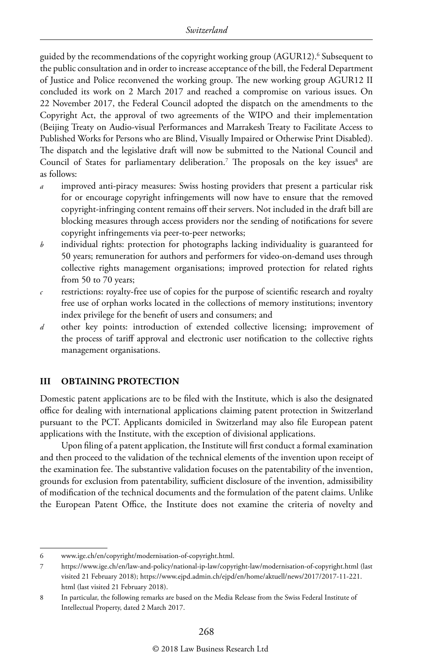guided by the recommendations of the copyright working group (AGUR12).6 Subsequent to the public consultation and in order to increase acceptance of the bill, the Federal Department of Justice and Police reconvened the working group. The new working group AGUR12 II concluded its work on 2 March 2017 and reached a compromise on various issues. On 22 November 2017, the Federal Council adopted the dispatch on the amendments to the Copyright Act, the approval of two agreements of the WIPO and their implementation (Beijing Treaty on Audio-visual Performances and Marrakesh Treaty to Facilitate Access to Published Works for Persons who are Blind, Visually Impaired or Otherwise Print Disabled). The dispatch and the legislative draft will now be submitted to the National Council and Council of States for parliamentary deliberation.<sup>7</sup> The proposals on the key issues<sup>8</sup> are as follows:

- *a* improved anti-piracy measures: Swiss hosting providers that present a particular risk for or encourage copyright infringements will now have to ensure that the removed copyright-infringing content remains off their servers. Not included in the draft bill are blocking measures through access providers nor the sending of notifications for severe copyright infringements via peer-to-peer networks;
- *b* individual rights: protection for photographs lacking individuality is guaranteed for 50 years; remuneration for authors and performers for video-on-demand uses through collective rights management organisations; improved protection for related rights from 50 to 70 years;
- *c* restrictions: royalty-free use of copies for the purpose of scientific research and royalty free use of orphan works located in the collections of memory institutions; inventory index privilege for the benefit of users and consumers; and
- *d* other key points: introduction of extended collective licensing; improvement of the process of tariff approval and electronic user notification to the collective rights management organisations.

#### **III OBTAINING PROTECTION**

Domestic patent applications are to be filed with the Institute, which is also the designated office for dealing with international applications claiming patent protection in Switzerland pursuant to the PCT. Applicants domiciled in Switzerland may also file European patent applications with the Institute, with the exception of divisional applications.

Upon filing of a patent application, the Institute will first conduct a formal examination and then proceed to the validation of the technical elements of the invention upon receipt of the examination fee. The substantive validation focuses on the patentability of the invention, grounds for exclusion from patentability, sufficient disclosure of the invention, admissibility of modification of the technical documents and the formulation of the patent claims. Unlike the European Patent Office, the Institute does not examine the criteria of novelty and

<sup>6</sup> www.ige.ch/en/copyright/modernisation-of-copyright.html.

<sup>7</sup> https://www.ige.ch/en/law-and-policy/national-ip-law/copyright-law/modernisation-of-copyright.html (last visited 21 February 2018); https://www.ejpd.admin.ch/ejpd/en/home/aktuell/news/2017/2017-11-221. html (last visited 21 February 2018).

<sup>8</sup> In particular, the following remarks are based on the Media Release from the Swiss Federal Institute of Intellectual Property, dated 2 March 2017.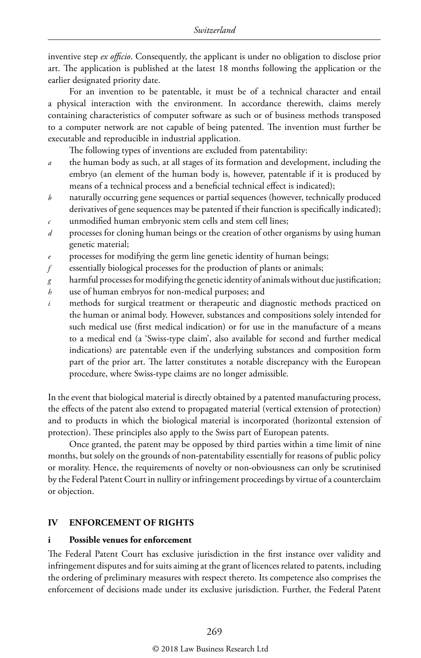inventive step *ex officio*. Consequently, the applicant is under no obligation to disclose prior art. The application is published at the latest 18 months following the application or the earlier designated priority date.

For an invention to be patentable, it must be of a technical character and entail a physical interaction with the environment. In accordance therewith, claims merely containing characteristics of computer software as such or of business methods transposed to a computer network are not capable of being patented. The invention must further be executable and reproducible in industrial application.

The following types of inventions are excluded from patentability:

- *a* the human body as such, at all stages of its formation and development, including the embryo (an element of the human body is, however, patentable if it is produced by means of a technical process and a beneficial technical effect is indicated);
- *b* naturally occurring gene sequences or partial sequences (however, technically produced derivatives of gene sequences may be patented if their function is specifically indicated);
- *c* unmodified human embryonic stem cells and stem cell lines;
- *d* processes for cloning human beings or the creation of other organisms by using human genetic material;
- *e* processes for modifying the germ line genetic identity of human beings;
- *f* essentially biological processes for the production of plants or animals;
- *g* harmful processes for modifying the genetic identity of animals without due justification;
- *h* use of human embryos for non-medical purposes; and
- *i* methods for surgical treatment or therapeutic and diagnostic methods practiced on the human or animal body. However, substances and compositions solely intended for such medical use (first medical indication) or for use in the manufacture of a means to a medical end (a 'Swiss-type claim', also available for second and further medical indications) are patentable even if the underlying substances and composition form part of the prior art. The latter constitutes a notable discrepancy with the European procedure, where Swiss-type claims are no longer admissible.

In the event that biological material is directly obtained by a patented manufacturing process, the effects of the patent also extend to propagated material (vertical extension of protection) and to products in which the biological material is incorporated (horizontal extension of protection). These principles also apply to the Swiss part of European patents.

Once granted, the patent may be opposed by third parties within a time limit of nine months, but solely on the grounds of non-patentability essentially for reasons of public policy or morality. Hence, the requirements of novelty or non-obviousness can only be scrutinised by the Federal Patent Court in nullity or infringement proceedings by virtue of a counterclaim or objection.

# **IV ENFORCEMENT OF RIGHTS**

#### **i Possible venues for enforcement**

The Federal Patent Court has exclusive jurisdiction in the first instance over validity and infringement disputes and for suits aiming at the grant of licences related to patents, including the ordering of preliminary measures with respect thereto. Its competence also comprises the enforcement of decisions made under its exclusive jurisdiction. Further, the Federal Patent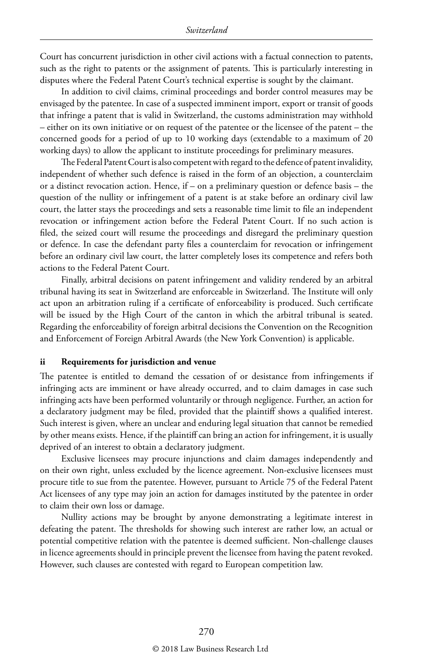Court has concurrent jurisdiction in other civil actions with a factual connection to patents, such as the right to patents or the assignment of patents. This is particularly interesting in disputes where the Federal Patent Court's technical expertise is sought by the claimant.

In addition to civil claims, criminal proceedings and border control measures may be envisaged by the patentee. In case of a suspected imminent import, export or transit of goods that infringe a patent that is valid in Switzerland, the customs administration may withhold – either on its own initiative or on request of the patentee or the licensee of the patent – the concerned goods for a period of up to 10 working days (extendable to a maximum of 20 working days) to allow the applicant to institute proceedings for preliminary measures.

The Federal Patent Court is also competent with regard to the defence of patent invalidity, independent of whether such defence is raised in the form of an objection, a counterclaim or a distinct revocation action. Hence, if – on a preliminary question or defence basis – the question of the nullity or infringement of a patent is at stake before an ordinary civil law court, the latter stays the proceedings and sets a reasonable time limit to file an independent revocation or infringement action before the Federal Patent Court. If no such action is filed, the seized court will resume the proceedings and disregard the preliminary question or defence. In case the defendant party files a counterclaim for revocation or infringement before an ordinary civil law court, the latter completely loses its competence and refers both actions to the Federal Patent Court.

Finally, arbitral decisions on patent infringement and validity rendered by an arbitral tribunal having its seat in Switzerland are enforceable in Switzerland. The Institute will only act upon an arbitration ruling if a certificate of enforceability is produced. Such certificate will be issued by the High Court of the canton in which the arbitral tribunal is seated. Regarding the enforceability of foreign arbitral decisions the Convention on the Recognition and Enforcement of Foreign Arbitral Awards (the New York Convention) is applicable.

#### **ii Requirements for jurisdiction and venue**

The patentee is entitled to demand the cessation of or desistance from infringements if infringing acts are imminent or have already occurred, and to claim damages in case such infringing acts have been performed voluntarily or through negligence. Further, an action for a declaratory judgment may be filed, provided that the plaintiff shows a qualified interest. Such interest is given, where an unclear and enduring legal situation that cannot be remedied by other means exists. Hence, if the plaintiff can bring an action for infringement, it is usually deprived of an interest to obtain a declaratory judgment.

Exclusive licensees may procure injunctions and claim damages independently and on their own right, unless excluded by the licence agreement. Non-exclusive licensees must procure title to sue from the patentee. However, pursuant to Article 75 of the Federal Patent Act licensees of any type may join an action for damages instituted by the patentee in order to claim their own loss or damage.

Nullity actions may be brought by anyone demonstrating a legitimate interest in defeating the patent. The thresholds for showing such interest are rather low, an actual or potential competitive relation with the patentee is deemed sufficient. Non-challenge clauses in licence agreements should in principle prevent the licensee from having the patent revoked. However, such clauses are contested with regard to European competition law.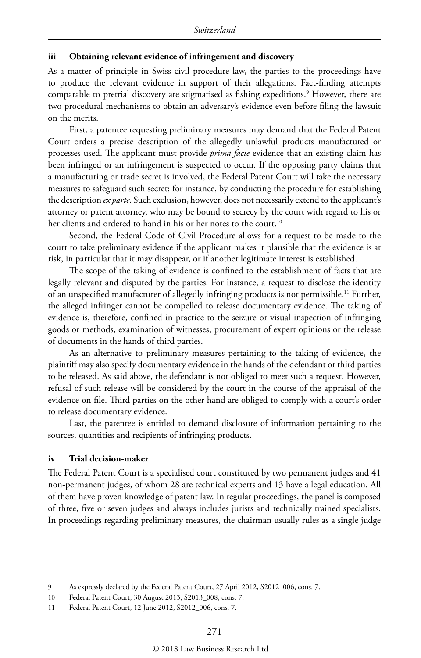# **iii Obtaining relevant evidence of infringement and discovery**

As a matter of principle in Swiss civil procedure law, the parties to the proceedings have to produce the relevant evidence in support of their allegations. Fact-finding attempts comparable to pretrial discovery are stigmatised as fishing expeditions.9 However, there are two procedural mechanisms to obtain an adversary's evidence even before filing the lawsuit on the merits.

First, a patentee requesting preliminary measures may demand that the Federal Patent Court orders a precise description of the allegedly unlawful products manufactured or processes used. The applicant must provide *prima facie* evidence that an existing claim has been infringed or an infringement is suspected to occur. If the opposing party claims that a manufacturing or trade secret is involved, the Federal Patent Court will take the necessary measures to safeguard such secret; for instance, by conducting the procedure for establishing the description *ex parte*. Such exclusion, however, does not necessarily extend to the applicant's attorney or patent attorney, who may be bound to secrecy by the court with regard to his or her clients and ordered to hand in his or her notes to the court.<sup>10</sup>

Second, the Federal Code of Civil Procedure allows for a request to be made to the court to take preliminary evidence if the applicant makes it plausible that the evidence is at risk, in particular that it may disappear, or if another legitimate interest is established.

The scope of the taking of evidence is confined to the establishment of facts that are legally relevant and disputed by the parties. For instance, a request to disclose the identity of an unspecified manufacturer of allegedly infringing products is not permissible.11 Further, the alleged infringer cannot be compelled to release documentary evidence. The taking of evidence is, therefore, confined in practice to the seizure or visual inspection of infringing goods or methods, examination of witnesses, procurement of expert opinions or the release of documents in the hands of third parties.

As an alternative to preliminary measures pertaining to the taking of evidence, the plaintiff may also specify documentary evidence in the hands of the defendant or third parties to be released. As said above, the defendant is not obliged to meet such a request. However, refusal of such release will be considered by the court in the course of the appraisal of the evidence on file. Third parties on the other hand are obliged to comply with a court's order to release documentary evidence.

Last, the patentee is entitled to demand disclosure of information pertaining to the sources, quantities and recipients of infringing products.

#### **iv Trial decision-maker**

The Federal Patent Court is a specialised court constituted by two permanent judges and 41 non-permanent judges, of whom 28 are technical experts and 13 have a legal education. All of them have proven knowledge of patent law. In regular proceedings, the panel is composed of three, five or seven judges and always includes jurists and technically trained specialists. In proceedings regarding preliminary measures, the chairman usually rules as a single judge

<sup>9</sup> As expressly declared by the Federal Patent Court, 27 April 2012, S2012\_006, cons. 7.

<sup>10</sup> Federal Patent Court, 30 August 2013, S2013\_008, cons. 7.

<sup>11</sup> Federal Patent Court, 12 June 2012, S2012\_006, cons. 7.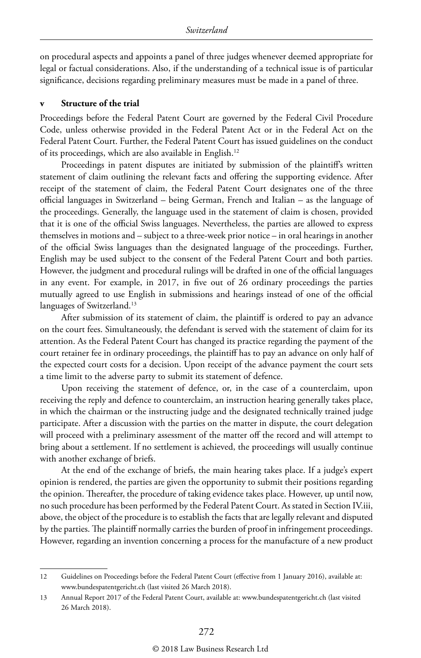on procedural aspects and appoints a panel of three judges whenever deemed appropriate for legal or factual considerations. Also, if the understanding of a technical issue is of particular significance, decisions regarding preliminary measures must be made in a panel of three.

#### **v Structure of the trial**

Proceedings before the Federal Patent Court are governed by the Federal Civil Procedure Code, unless otherwise provided in the Federal Patent Act or in the Federal Act on the Federal Patent Court. Further, the Federal Patent Court has issued guidelines on the conduct of its proceedings, which are also available in English.12

Proceedings in patent disputes are initiated by submission of the plaintiff's written statement of claim outlining the relevant facts and offering the supporting evidence. After receipt of the statement of claim, the Federal Patent Court designates one of the three official languages in Switzerland – being German, French and Italian – as the language of the proceedings. Generally, the language used in the statement of claim is chosen, provided that it is one of the official Swiss languages. Nevertheless, the parties are allowed to express themselves in motions and – subject to a three-week prior notice – in oral hearings in another of the official Swiss languages than the designated language of the proceedings. Further, English may be used subject to the consent of the Federal Patent Court and both parties. However, the judgment and procedural rulings will be drafted in one of the official languages in any event. For example, in 2017, in five out of 26 ordinary proceedings the parties mutually agreed to use English in submissions and hearings instead of one of the official languages of Switzerland.<sup>13</sup>

After submission of its statement of claim, the plaintiff is ordered to pay an advance on the court fees. Simultaneously, the defendant is served with the statement of claim for its attention. As the Federal Patent Court has changed its practice regarding the payment of the court retainer fee in ordinary proceedings, the plaintiff has to pay an advance on only half of the expected court costs for a decision. Upon receipt of the advance payment the court sets a time limit to the adverse party to submit its statement of defence.

Upon receiving the statement of defence, or, in the case of a counterclaim, upon receiving the reply and defence to counterclaim, an instruction hearing generally takes place, in which the chairman or the instructing judge and the designated technically trained judge participate. After a discussion with the parties on the matter in dispute, the court delegation will proceed with a preliminary assessment of the matter off the record and will attempt to bring about a settlement. If no settlement is achieved, the proceedings will usually continue with another exchange of briefs.

At the end of the exchange of briefs, the main hearing takes place. If a judge's expert opinion is rendered, the parties are given the opportunity to submit their positions regarding the opinion. Thereafter, the procedure of taking evidence takes place. However, up until now, no such procedure has been performed by the Federal Patent Court. As stated in Section IV.iii, above, the object of the procedure is to establish the facts that are legally relevant and disputed by the parties. The plaintiff normally carries the burden of proof in infringement proceedings. However, regarding an invention concerning a process for the manufacture of a new product

<sup>12</sup> Guidelines on Proceedings before the Federal Patent Court (effective from 1 January 2016), available at: www.bundespatentgericht.ch (last visited 26 March 2018).

<sup>13</sup> Annual Report 2017 of the Federal Patent Court, available at: www.bundespatentgericht.ch (last visited 26 March 2018).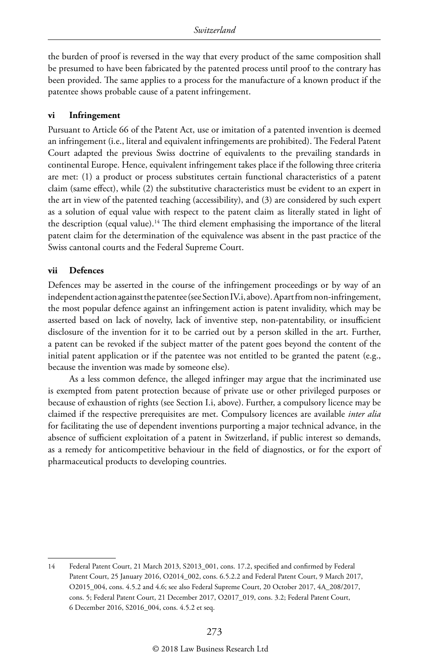the burden of proof is reversed in the way that every product of the same composition shall be presumed to have been fabricated by the patented process until proof to the contrary has been provided. The same applies to a process for the manufacture of a known product if the patentee shows probable cause of a patent infringement.

#### **vi Infringement**

Pursuant to Article 66 of the Patent Act, use or imitation of a patented invention is deemed an infringement (i.e., literal and equivalent infringements are prohibited). The Federal Patent Court adapted the previous Swiss doctrine of equivalents to the prevailing standards in continental Europe. Hence, equivalent infringement takes place if the following three criteria are met: (1) a product or process substitutes certain functional characteristics of a patent claim (same effect), while (2) the substitutive characteristics must be evident to an expert in the art in view of the patented teaching (accessibility), and (3) are considered by such expert as a solution of equal value with respect to the patent claim as literally stated in light of the description (equal value).<sup>14</sup> The third element emphasising the importance of the literal patent claim for the determination of the equivalence was absent in the past practice of the Swiss cantonal courts and the Federal Supreme Court.

#### **vii Defences**

Defences may be asserted in the course of the infringement proceedings or by way of an independent action against the patentee (see Section IV.i, above). Apart from non-infringement, the most popular defence against an infringement action is patent invalidity, which may be asserted based on lack of novelty, lack of inventive step, non-patentability, or insufficient disclosure of the invention for it to be carried out by a person skilled in the art. Further, a patent can be revoked if the subject matter of the patent goes beyond the content of the initial patent application or if the patentee was not entitled to be granted the patent (e.g., because the invention was made by someone else).

As a less common defence, the alleged infringer may argue that the incriminated use is exempted from patent protection because of private use or other privileged purposes or because of exhaustion of rights (see Section I.i, above). Further, a compulsory licence may be claimed if the respective prerequisites are met. Compulsory licences are available *inter alia* for facilitating the use of dependent inventions purporting a major technical advance, in the absence of sufficient exploitation of a patent in Switzerland, if public interest so demands, as a remedy for anticompetitive behaviour in the field of diagnostics, or for the export of pharmaceutical products to developing countries.

<sup>14</sup> Federal Patent Court, 21 March 2013, S2013\_001, cons. 17.2, specified and confirmed by Federal Patent Court, 25 January 2016, O2014\_002, cons. 6.5.2.2 and Federal Patent Court, 9 March 2017, O2015\_004, cons. 4.5.2 and 4.6; see also Federal Supreme Court, 20 October 2017, 4A\_208/2017, cons. 5; Federal Patent Court, 21 December 2017, O2017\_019, cons. 3.2; Federal Patent Court, 6 December 2016, S2016\_004, cons. 4.5.2 et seq.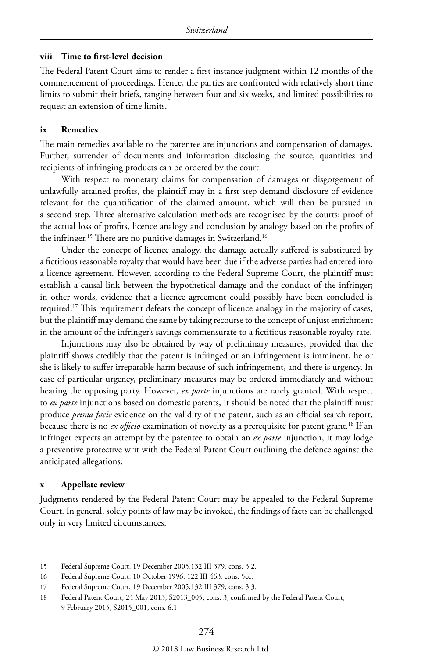## **viii Time to first-level decision**

The Federal Patent Court aims to render a first instance judgment within 12 months of the commencement of proceedings. Hence, the parties are confronted with relatively short time limits to submit their briefs, ranging between four and six weeks, and limited possibilities to request an extension of time limits.

#### **ix Remedies**

The main remedies available to the patentee are injunctions and compensation of damages. Further, surrender of documents and information disclosing the source, quantities and recipients of infringing products can be ordered by the court.

With respect to monetary claims for compensation of damages or disgorgement of unlawfully attained profits, the plaintiff may in a first step demand disclosure of evidence relevant for the quantification of the claimed amount, which will then be pursued in a second step. Three alternative calculation methods are recognised by the courts: proof of the actual loss of profits, licence analogy and conclusion by analogy based on the profits of the infringer.<sup>15</sup> There are no punitive damages in Switzerland.<sup>16</sup>

Under the concept of licence analogy, the damage actually suffered is substituted by a fictitious reasonable royalty that would have been due if the adverse parties had entered into a licence agreement. However, according to the Federal Supreme Court, the plaintiff must establish a causal link between the hypothetical damage and the conduct of the infringer; in other words, evidence that a licence agreement could possibly have been concluded is required.17 This requirement defeats the concept of licence analogy in the majority of cases, but the plaintiff may demand the same by taking recourse to the concept of unjust enrichment in the amount of the infringer's savings commensurate to a fictitious reasonable royalty rate.

Injunctions may also be obtained by way of preliminary measures, provided that the plaintiff shows credibly that the patent is infringed or an infringement is imminent, he or she is likely to suffer irreparable harm because of such infringement, and there is urgency. In case of particular urgency, preliminary measures may be ordered immediately and without hearing the opposing party. However, *ex parte* injunctions are rarely granted. With respect to *ex parte* injunctions based on domestic patents, it should be noted that the plaintiff must produce *prima facie* evidence on the validity of the patent, such as an official search report, because there is no *ex officio* examination of novelty as a prerequisite for patent grant.18 If an infringer expects an attempt by the patentee to obtain an *ex parte* injunction, it may lodge a preventive protective writ with the Federal Patent Court outlining the defence against the anticipated allegations.

#### **x Appellate review**

Judgments rendered by the Federal Patent Court may be appealed to the Federal Supreme Court. In general, solely points of law may be invoked, the findings of facts can be challenged only in very limited circumstances.

<sup>15</sup> Federal Supreme Court, 19 December 2005,132 III 379, cons. 3.2.

<sup>16</sup> Federal Supreme Court, 10 October 1996, 122 III 463, cons. 5cc.

<sup>17</sup> Federal Supreme Court, 19 December 2005,132 III 379, cons. 3.3.

<sup>18</sup> Federal Patent Court, 24 May 2013, S2013\_005, cons. 3, confirmed by the Federal Patent Court, 9 February 2015, S2015\_001, cons. 6.1.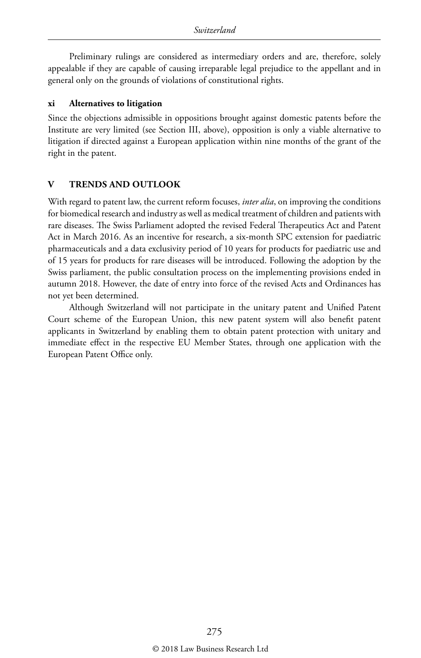Preliminary rulings are considered as intermediary orders and are, therefore, solely appealable if they are capable of causing irreparable legal prejudice to the appellant and in general only on the grounds of violations of constitutional rights.

#### **xi Alternatives to litigation**

Since the objections admissible in oppositions brought against domestic patents before the Institute are very limited (see Section III, above), opposition is only a viable alternative to litigation if directed against a European application within nine months of the grant of the right in the patent.

# **V TRENDS AND OUTLOOK**

With regard to patent law, the current reform focuses, *inter alia*, on improving the conditions for biomedical research and industry as well as medical treatment of children and patients with rare diseases. The Swiss Parliament adopted the revised Federal Therapeutics Act and Patent Act in March 2016. As an incentive for research, a six-month SPC extension for paediatric pharmaceuticals and a data exclusivity period of 10 years for products for paediatric use and of 15 years for products for rare diseases will be introduced. Following the adoption by the Swiss parliament, the public consultation process on the implementing provisions ended in autumn 2018. However, the date of entry into force of the revised Acts and Ordinances has not yet been determined.

Although Switzerland will not participate in the unitary patent and Unified Patent Court scheme of the European Union, this new patent system will also benefit patent applicants in Switzerland by enabling them to obtain patent protection with unitary and immediate effect in the respective EU Member States, through one application with the European Patent Office only.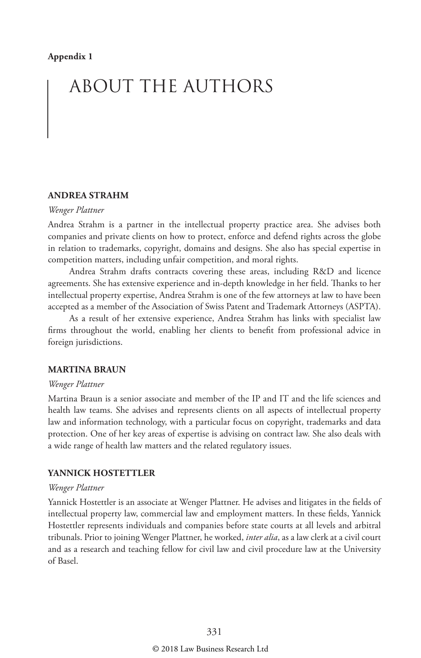# ABOUT THE AUTHORS

## **ANDREA STRAHM**

#### *Wenger Plattner*

Andrea Strahm is a partner in the intellectual property practice area. She advises both companies and private clients on how to protect, enforce and defend rights across the globe in relation to trademarks, copyright, domains and designs. She also has special expertise in competition matters, including unfair competition, and moral rights.

Andrea Strahm drafts contracts covering these areas, including R&D and licence agreements. She has extensive experience and in-depth knowledge in her field. Thanks to her intellectual property expertise, Andrea Strahm is one of the few attorneys at law to have been accepted as a member of the Association of Swiss Patent and Trademark Attorneys (ASPTA).

As a result of her extensive experience, Andrea Strahm has links with specialist law firms throughout the world, enabling her clients to benefit from professional advice in foreign jurisdictions.

#### **MARTINA BRAUN**

#### *Wenger Plattner*

Martina Braun is a senior associate and member of the IP and IT and the life sciences and health law teams. She advises and represents clients on all aspects of intellectual property law and information technology, with a particular focus on copyright, trademarks and data protection. One of her key areas of expertise is advising on contract law. She also deals with a wide range of health law matters and the related regulatory issues.

# **YANNICK HOSTETTLER**

#### *Wenger Plattner*

Yannick Hostettler is an associate at Wenger Plattner. He advises and litigates in the fields of intellectual property law, commercial law and employment matters. In these fields, Yannick Hostettler represents individuals and companies before state courts at all levels and arbitral tribunals. Prior to joining Wenger Plattner, he worked, *inter alia*, as a law clerk at a civil court and as a research and teaching fellow for civil law and civil procedure law at the University of Basel.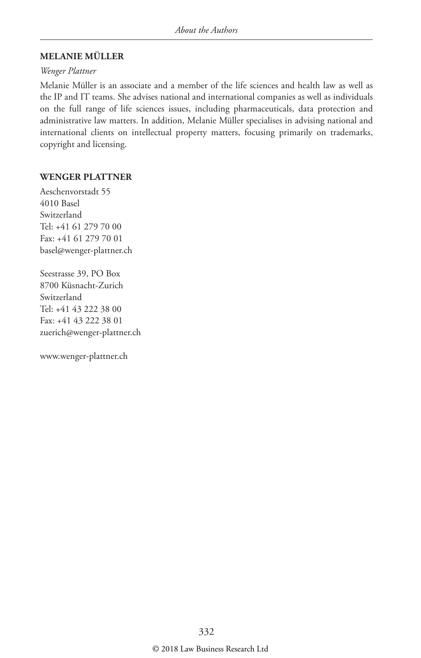# **MELANIE MÜLLER**

# *Wenger Plattner*

Melanie Müller is an associate and a member of the life sciences and health law as well as the IP and IT teams. She advises national and international companies as well as individuals on the full range of life sciences issues, including pharmaceuticals, data protection and administrative law matters. In addition, Melanie Müller specialises in advising national and international clients on intellectual property matters, focusing primarily on trademarks, copyright and licensing.

# **WENGER PLATTNER**

Aeschenvorstadt 55 4010 Basel Switzerland Tel: +41 61 279 70 00 Fax: +41 61 279 70 01 basel@wenger-plattner.ch

Seestrasse 39, PO Box 8700 Küsnacht-Zurich Switzerland Tel: +41 43 222 38 00 Fax: +41 43 222 38 01 zuerich@wenger-plattner.ch

www.wenger-plattner.ch